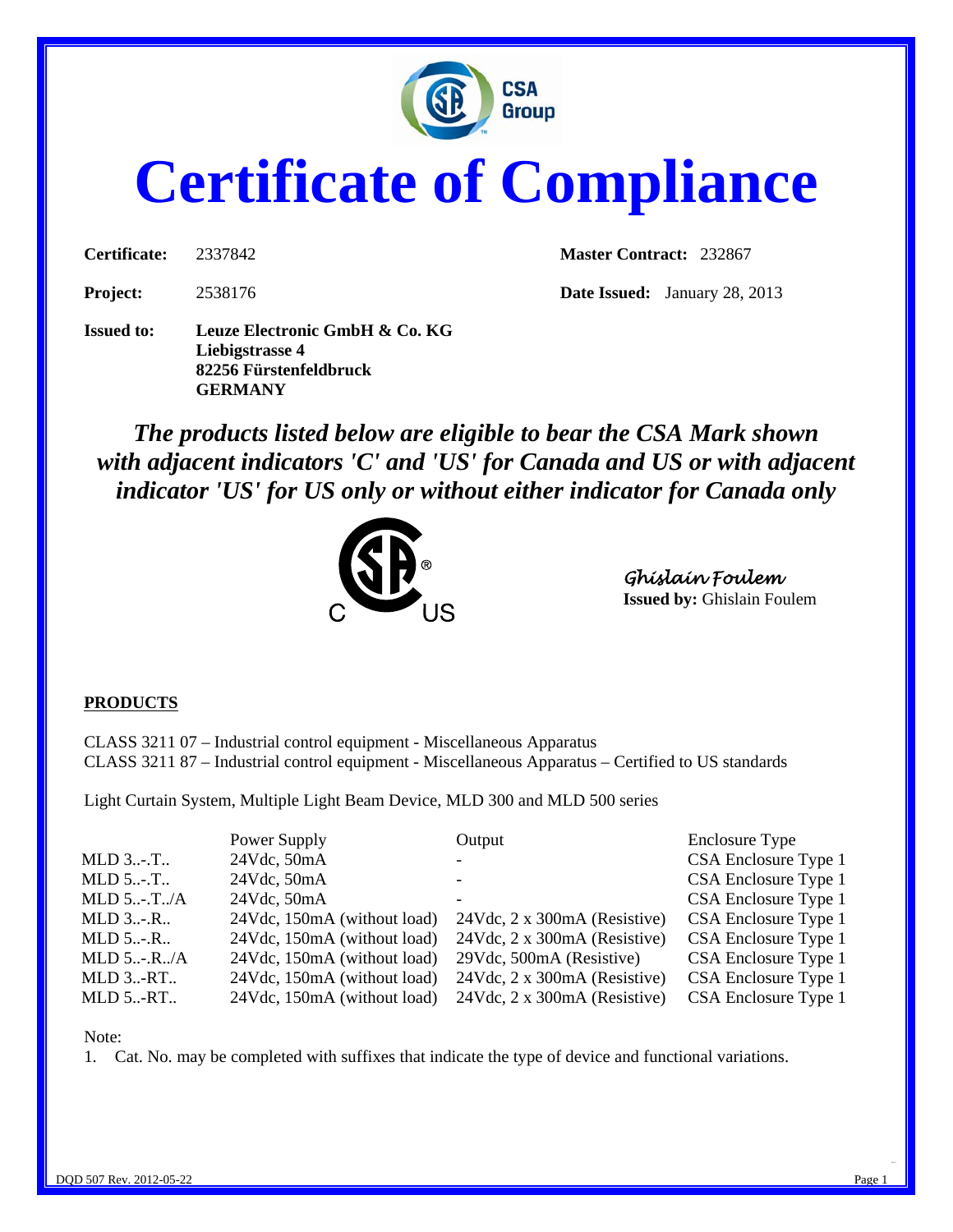

# **Certificate of Compliance**

**Certificate:** 2337842 **Master Contract:** 232867

**Project:** 2538176 **Date Issued:** January 28, 2013

**Issued to: Leuze Electronic GmbH & Co. KG Liebigstrasse 4 82256 Fürstenfeldbruck GERMANY** 

*The products listed below are eligible to bear the CSA Mark shown with adjacent indicators 'C' and 'US' for Canada and US or with adjacent indicator 'US' for US only or without either indicator for Canada only* 



Ghislain Foulem **Issued by:** Ghislain Foulem

#### **PRODUCTS**

CLASS 3211 07 – Industrial control equipment - Miscellaneous Apparatus CLASS 3211 87 – Industrial control equipment - Miscellaneous Apparatus – Certified to US standards

Light Curtain System, Multiple Light Beam Device, MLD 300 and MLD 500 series

|                  | Power Supply                | Output                                 | <b>Enclosure Type</b> |
|------------------|-----------------------------|----------------------------------------|-----------------------|
| $MLD$ 3 $T$      | 24Vdc, 50mA                 |                                        | CSA Enclosure Type 1  |
| $MLD$ 5T         | 24Vdc, 50mA                 |                                        | CSA Enclosure Type 1  |
| MLD $5T.A$       | 24Vdc, 50mA                 |                                        | CSA Enclosure Type 1  |
| $MLD$ 3 $R$      | 24Vdc, 150mA (without load) | 24Vdc, 2 x 300mA (Resistive)           | CSA Enclosure Type 1  |
| $MLD$ 5 $R$      | 24Vdc, 150mA (without load) | $24Vdc$ , $2 \times 300mA$ (Resistive) | CSA Enclosure Type 1  |
| $MLD$ 5 $-R.$ /A | 24Vdc, 150mA (without load) | 29Vdc, 500mA (Resistive)               | CSA Enclosure Type 1  |
| $MLD$ 3 $RT$     | 24Vdc, 150mA (without load) | 24Vdc, 2 x 300mA (Resistive)           | CSA Enclosure Type 1  |
| $MLD$ 5 $RT$     | 24Vdc, 150mA (without load) | 24Vdc, 2 x 300mA (Resistive)           | CSA Enclosure Type 1  |

Note:

1. Cat. No. may be completed with suffixes that indicate the type of device and functional variations.

For the contract of the contract of the contract of the contract of the contract of the contract of the contract of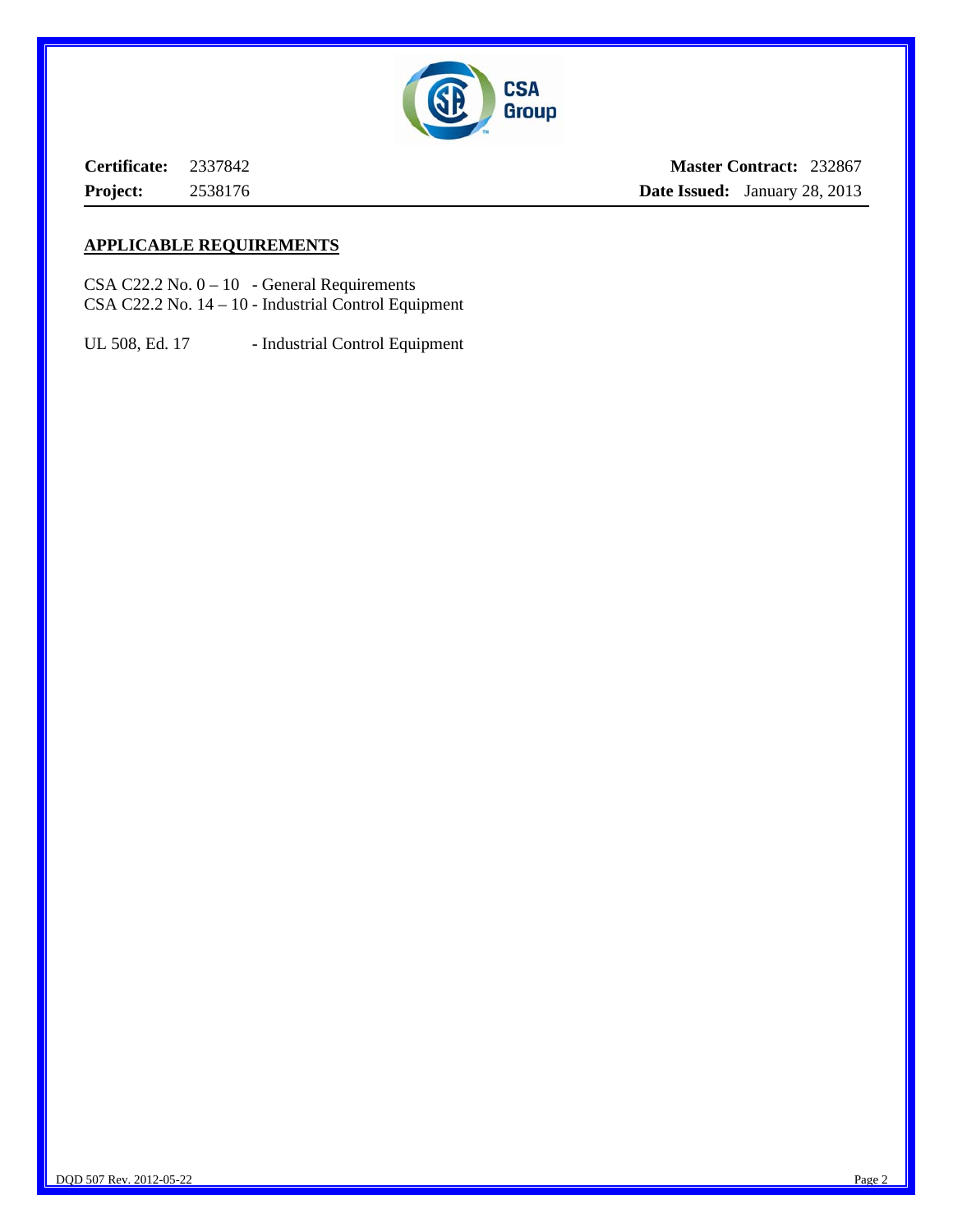

**Certificate:** 2337842 **Project:** 2538176

**Master Contract:** 232867 **Date Issued:** January 28, 2013

#### **APPLICABLE REQUIREMENTS**

CSA C22.2 No.  $0 - 10$  - General Requirements CSA C22.2 No. 14 – 10 - Industrial Control Equipment

UL 508, Ed. 17 - Industrial Control Equipment